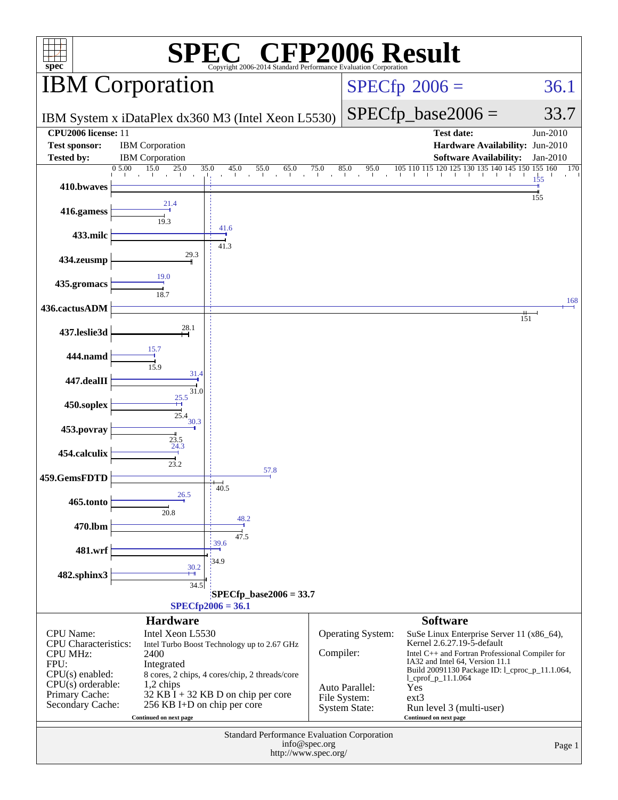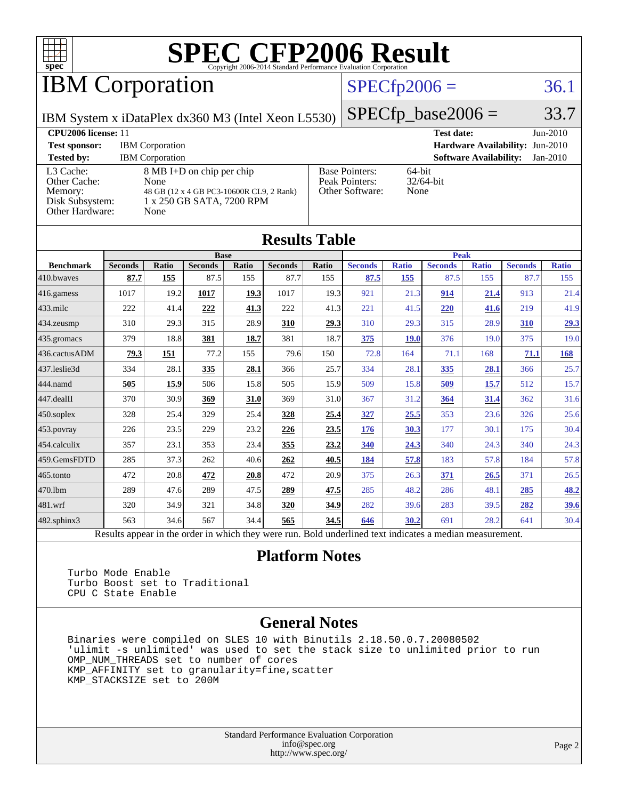

# **IBM Corporation**

### $SPECfp2006 = 36.1$  $SPECfp2006 = 36.1$

IBM System x iDataPlex dx360 M3 (Intel Xeon L5530)

 $SPECTp\_base2006 = 33.7$ 

**[CPU2006 license:](http://www.spec.org/auto/cpu2006/Docs/result-fields.html#CPU2006license)** 11 **[Test date:](http://www.spec.org/auto/cpu2006/Docs/result-fields.html#Testdate)** Jun-2010 **[Test sponsor:](http://www.spec.org/auto/cpu2006/Docs/result-fields.html#Testsponsor)** IBM Corporation **[Hardware Availability:](http://www.spec.org/auto/cpu2006/Docs/result-fields.html#HardwareAvailability)** Jun-2010 **[Tested by:](http://www.spec.org/auto/cpu2006/Docs/result-fields.html#Testedby)** IBM Corporation **[Software Availability:](http://www.spec.org/auto/cpu2006/Docs/result-fields.html#SoftwareAvailability)** Jan-2010 [L3 Cache:](http://www.spec.org/auto/cpu2006/Docs/result-fields.html#L3Cache) 8 MB I+D on chip per chip [Other Cache:](http://www.spec.org/auto/cpu2006/Docs/result-fields.html#OtherCache) [Memory:](http://www.spec.org/auto/cpu2006/Docs/result-fields.html#Memory) 48 GB (12 x 4 GB PC3-10600R CL9, 2 Rank) [Disk Subsystem:](http://www.spec.org/auto/cpu2006/Docs/result-fields.html#DiskSubsystem) 1 x 250 GB SATA, 7200 RPM [Other Hardware:](http://www.spec.org/auto/cpu2006/Docs/result-fields.html#OtherHardware) None [Base Pointers:](http://www.spec.org/auto/cpu2006/Docs/result-fields.html#BasePointers) 64-bit<br>Peak Pointers: 32/64-bit [Peak Pointers:](http://www.spec.org/auto/cpu2006/Docs/result-fields.html#PeakPointers) [Other Software:](http://www.spec.org/auto/cpu2006/Docs/result-fields.html#OtherSoftware) None

**[Results Table](http://www.spec.org/auto/cpu2006/Docs/result-fields.html#ResultsTable)**

| Results 1 aple   |                                                                                                          |              |                |       |                |       |                |              |                |              |                |              |
|------------------|----------------------------------------------------------------------------------------------------------|--------------|----------------|-------|----------------|-------|----------------|--------------|----------------|--------------|----------------|--------------|
|                  | <b>Base</b>                                                                                              |              |                |       |                | Peak  |                |              |                |              |                |              |
| <b>Benchmark</b> | <b>Seconds</b>                                                                                           | <b>Ratio</b> | <b>Seconds</b> | Ratio | <b>Seconds</b> | Ratio | <b>Seconds</b> | <b>Ratio</b> | <b>Seconds</b> | <b>Ratio</b> | <b>Seconds</b> | <b>Ratio</b> |
| 410.bwaves       | 87.7                                                                                                     | 155          | 87.5           | 155   | 87.7           | 155   | 87.5           | 155          | 87.5           | 155          | 87.7           | 155          |
| $416$ .gamess    | 1017                                                                                                     | 19.2         | 1017           | 19.3  | 1017           | 19.3  | 921            | 21.3         | 914            | 21.4         | 913            | 21.4         |
| $ 433$ .milc     | 222                                                                                                      | 41.4         | 222            | 41.3  | 222            | 41.3  | 221            | 41.5         | 220            | 41.6         | 219            | 41.9         |
| $ 434$ . zeusmp  | 310                                                                                                      | 29.3         | 315            | 28.9  | 310            | 29.3  | 310            | 29.3         | 315            | 28.9         | 310            | <u>29.3</u>  |
| $435$ .gromacs   | 379                                                                                                      | 18.8         | 381            | 18.7  | 381            | 18.7  | 375            | 19.0         | 376            | 19.0         | 375            | 19.0         |
| 436.cactusADM    | 79.3                                                                                                     | 151          | 77.2           | 155   | 79.6           | 150   | 72.8           | 164          | 71.1           | 168          | <b>71.1</b>    | <b>168</b>   |
| 437.leslie3d     | 334                                                                                                      | 28.1         | 335            | 28.1  | 366            | 25.7  | 334            | 28.1         | 335            | 28.1         | 366            | 25.7         |
| 444.namd         | 505                                                                                                      | 15.9         | 506            | 15.8  | 505            | 15.9  | 509            | 15.8         | 509            | 15.7         | 512            | 15.7         |
| 447.dealII       | 370                                                                                                      | 30.9         | 369            | 31.0  | 369            | 31.0  | 367            | 31.2         | 364            | 31.4         | 362            | 31.6         |
| $450$ .soplex    | 328                                                                                                      | 25.4         | 329            | 25.4  | 328            | 25.4  | 327            | 25.5         | 353            | 23.6         | 326            | 25.6         |
| $453$ .povray    | 226                                                                                                      | 23.5         | 229            | 23.2  | 226            | 23.5  | 176            | 30.3         | 177            | 30.1         | 175            | 30.4         |
| $454$ .calculix  | 357                                                                                                      | 23.1         | 353            | 23.4  | 355            | 23.2  | 340            | 24.3         | 340            | 24.3         | 340            | 24.3         |
| 459.GemsFDTD     | 285                                                                                                      | 37.3         | 262            | 40.6  | 262            | 40.5  | 184            | 57.8         | 183            | 57.8         | 184            | 57.8         |
| 465.tonto        | 472                                                                                                      | 20.8         | 472            | 20.8  | 472            | 20.9  | 375            | 26.3         | 371            | 26.5         | 371            | 26.5         |
| 470.1bm          | 289                                                                                                      | 47.6         | 289            | 47.5  | 289            | 47.5  | 285            | 48.2         | 286            | 48.1         | 285            | <u>48.2</u>  |
| $ 481$ .wrf      | 320                                                                                                      | 34.9         | 321            | 34.8  | 320            | 34.9  | 282            | 39.6         | 283            | 39.5         | 282            | <u>39.6</u>  |
| 482.sphinx3      | 563                                                                                                      | 34.6         | 567            | 34.4  | 565            | 34.5  | 646            | 30.2         | 691            | 28.2         | 641            | 30.4         |
|                  | Results appear in the order in which they were run. Bold underlined text indicates a median measurement. |              |                |       |                |       |                |              |                |              |                |              |

#### **[Platform Notes](http://www.spec.org/auto/cpu2006/Docs/result-fields.html#PlatformNotes)**

 Turbo Mode Enable Turbo Boost set to Traditional CPU C State Enable

#### **[General Notes](http://www.spec.org/auto/cpu2006/Docs/result-fields.html#GeneralNotes)**

 Binaries were compiled on SLES 10 with Binutils 2.18.50.0.7.20080502 'ulimit -s unlimited' was used to set the stack size to unlimited prior to run OMP\_NUM\_THREADS set to number of cores KMP\_AFFINITY set to granularity=fine,scatter KMP\_STACKSIZE set to 200M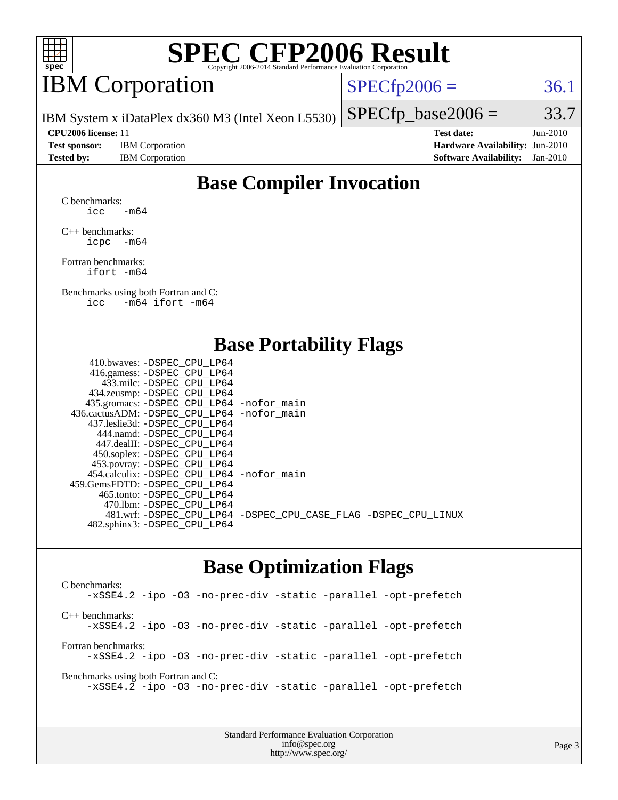

## IBM Corporation

 $SPECTp2006 = 36.1$ 

 $SPECTp\_base2006 = 33.7$ 

IBM System x iDataPlex dx360 M3 (Intel Xeon L5530)

**[Tested by:](http://www.spec.org/auto/cpu2006/Docs/result-fields.html#Testedby)** IBM Corporation **[Software Availability:](http://www.spec.org/auto/cpu2006/Docs/result-fields.html#SoftwareAvailability)** Jan-2010

**[CPU2006 license:](http://www.spec.org/auto/cpu2006/Docs/result-fields.html#CPU2006license)** 11 **[Test date:](http://www.spec.org/auto/cpu2006/Docs/result-fields.html#Testdate)** Jun-2010 **[Test sponsor:](http://www.spec.org/auto/cpu2006/Docs/result-fields.html#Testsponsor)** IBM Corporation **[Hardware Availability:](http://www.spec.org/auto/cpu2006/Docs/result-fields.html#HardwareAvailability)** Jun-2010

### **[Base Compiler Invocation](http://www.spec.org/auto/cpu2006/Docs/result-fields.html#BaseCompilerInvocation)**

[C benchmarks](http://www.spec.org/auto/cpu2006/Docs/result-fields.html#Cbenchmarks): icc  $-m64$ 

[C++ benchmarks:](http://www.spec.org/auto/cpu2006/Docs/result-fields.html#CXXbenchmarks) [icpc -m64](http://www.spec.org/cpu2006/results/res2010q3/cpu2006-20100719-12491.flags.html#user_CXXbase_intel_icpc_64bit_bedb90c1146cab66620883ef4f41a67e)

[Fortran benchmarks](http://www.spec.org/auto/cpu2006/Docs/result-fields.html#Fortranbenchmarks): [ifort -m64](http://www.spec.org/cpu2006/results/res2010q3/cpu2006-20100719-12491.flags.html#user_FCbase_intel_ifort_64bit_ee9d0fb25645d0210d97eb0527dcc06e)

[Benchmarks using both Fortran and C](http://www.spec.org/auto/cpu2006/Docs/result-fields.html#BenchmarksusingbothFortranandC): [icc -m64](http://www.spec.org/cpu2006/results/res2010q3/cpu2006-20100719-12491.flags.html#user_CC_FCbase_intel_icc_64bit_0b7121f5ab7cfabee23d88897260401c) [ifort -m64](http://www.spec.org/cpu2006/results/res2010q3/cpu2006-20100719-12491.flags.html#user_CC_FCbase_intel_ifort_64bit_ee9d0fb25645d0210d97eb0527dcc06e)

#### **[Base Portability Flags](http://www.spec.org/auto/cpu2006/Docs/result-fields.html#BasePortabilityFlags)**

| 410.bwaves: -DSPEC CPU LP64                  |                                                                |
|----------------------------------------------|----------------------------------------------------------------|
| 416.gamess: - DSPEC_CPU_LP64                 |                                                                |
| 433.milc: -DSPEC CPU LP64                    |                                                                |
| 434.zeusmp: -DSPEC_CPU_LP64                  |                                                                |
| 435.gromacs: -DSPEC_CPU_LP64 -nofor_main     |                                                                |
| 436.cactusADM: - DSPEC CPU LP64 - nofor main |                                                                |
| 437.leslie3d: -DSPEC CPU LP64                |                                                                |
| 444.namd: - DSPEC CPU LP64                   |                                                                |
| 447.dealII: - DSPEC CPU LP64                 |                                                                |
| 450.soplex: -DSPEC_CPU_LP64                  |                                                                |
| 453.povray: -DSPEC_CPU_LP64                  |                                                                |
| 454.calculix: - DSPEC CPU LP64 - nofor main  |                                                                |
| 459. GemsFDTD: - DSPEC CPU LP64              |                                                                |
| 465.tonto: - DSPEC CPU LP64                  |                                                                |
| 470.1bm: - DSPEC CPU LP64                    |                                                                |
|                                              | 481.wrf: -DSPEC_CPU_LP64 -DSPEC_CPU_CASE_FLAG -DSPEC_CPU_LINUX |
| 482.sphinx3: -DSPEC_CPU_LP64                 |                                                                |
|                                              |                                                                |

#### **[Base Optimization Flags](http://www.spec.org/auto/cpu2006/Docs/result-fields.html#BaseOptimizationFlags)**

[C benchmarks](http://www.spec.org/auto/cpu2006/Docs/result-fields.html#Cbenchmarks): [-xSSE4.2](http://www.spec.org/cpu2006/results/res2010q3/cpu2006-20100719-12491.flags.html#user_CCbase_f-xSSE42_f91528193cf0b216347adb8b939d4107) [-ipo](http://www.spec.org/cpu2006/results/res2010q3/cpu2006-20100719-12491.flags.html#user_CCbase_f-ipo) [-O3](http://www.spec.org/cpu2006/results/res2010q3/cpu2006-20100719-12491.flags.html#user_CCbase_f-O3) [-no-prec-div](http://www.spec.org/cpu2006/results/res2010q3/cpu2006-20100719-12491.flags.html#user_CCbase_f-no-prec-div) [-static](http://www.spec.org/cpu2006/results/res2010q3/cpu2006-20100719-12491.flags.html#user_CCbase_f-static) [-parallel](http://www.spec.org/cpu2006/results/res2010q3/cpu2006-20100719-12491.flags.html#user_CCbase_f-parallel) [-opt-prefetch](http://www.spec.org/cpu2006/results/res2010q3/cpu2006-20100719-12491.flags.html#user_CCbase_f-opt-prefetch) [C++ benchmarks:](http://www.spec.org/auto/cpu2006/Docs/result-fields.html#CXXbenchmarks) [-xSSE4.2](http://www.spec.org/cpu2006/results/res2010q3/cpu2006-20100719-12491.flags.html#user_CXXbase_f-xSSE42_f91528193cf0b216347adb8b939d4107) [-ipo](http://www.spec.org/cpu2006/results/res2010q3/cpu2006-20100719-12491.flags.html#user_CXXbase_f-ipo) [-O3](http://www.spec.org/cpu2006/results/res2010q3/cpu2006-20100719-12491.flags.html#user_CXXbase_f-O3) [-no-prec-div](http://www.spec.org/cpu2006/results/res2010q3/cpu2006-20100719-12491.flags.html#user_CXXbase_f-no-prec-div) [-static](http://www.spec.org/cpu2006/results/res2010q3/cpu2006-20100719-12491.flags.html#user_CXXbase_f-static) [-parallel](http://www.spec.org/cpu2006/results/res2010q3/cpu2006-20100719-12491.flags.html#user_CXXbase_f-parallel) [-opt-prefetch](http://www.spec.org/cpu2006/results/res2010q3/cpu2006-20100719-12491.flags.html#user_CXXbase_f-opt-prefetch) [Fortran benchmarks](http://www.spec.org/auto/cpu2006/Docs/result-fields.html#Fortranbenchmarks): [-xSSE4.2](http://www.spec.org/cpu2006/results/res2010q3/cpu2006-20100719-12491.flags.html#user_FCbase_f-xSSE42_f91528193cf0b216347adb8b939d4107) [-ipo](http://www.spec.org/cpu2006/results/res2010q3/cpu2006-20100719-12491.flags.html#user_FCbase_f-ipo) [-O3](http://www.spec.org/cpu2006/results/res2010q3/cpu2006-20100719-12491.flags.html#user_FCbase_f-O3) [-no-prec-div](http://www.spec.org/cpu2006/results/res2010q3/cpu2006-20100719-12491.flags.html#user_FCbase_f-no-prec-div) [-static](http://www.spec.org/cpu2006/results/res2010q3/cpu2006-20100719-12491.flags.html#user_FCbase_f-static) [-parallel](http://www.spec.org/cpu2006/results/res2010q3/cpu2006-20100719-12491.flags.html#user_FCbase_f-parallel) [-opt-prefetch](http://www.spec.org/cpu2006/results/res2010q3/cpu2006-20100719-12491.flags.html#user_FCbase_f-opt-prefetch) [Benchmarks using both Fortran and C](http://www.spec.org/auto/cpu2006/Docs/result-fields.html#BenchmarksusingbothFortranandC): [-xSSE4.2](http://www.spec.org/cpu2006/results/res2010q3/cpu2006-20100719-12491.flags.html#user_CC_FCbase_f-xSSE42_f91528193cf0b216347adb8b939d4107) [-ipo](http://www.spec.org/cpu2006/results/res2010q3/cpu2006-20100719-12491.flags.html#user_CC_FCbase_f-ipo) [-O3](http://www.spec.org/cpu2006/results/res2010q3/cpu2006-20100719-12491.flags.html#user_CC_FCbase_f-O3) [-no-prec-div](http://www.spec.org/cpu2006/results/res2010q3/cpu2006-20100719-12491.flags.html#user_CC_FCbase_f-no-prec-div) [-static](http://www.spec.org/cpu2006/results/res2010q3/cpu2006-20100719-12491.flags.html#user_CC_FCbase_f-static) [-parallel](http://www.spec.org/cpu2006/results/res2010q3/cpu2006-20100719-12491.flags.html#user_CC_FCbase_f-parallel) [-opt-prefetch](http://www.spec.org/cpu2006/results/res2010q3/cpu2006-20100719-12491.flags.html#user_CC_FCbase_f-opt-prefetch)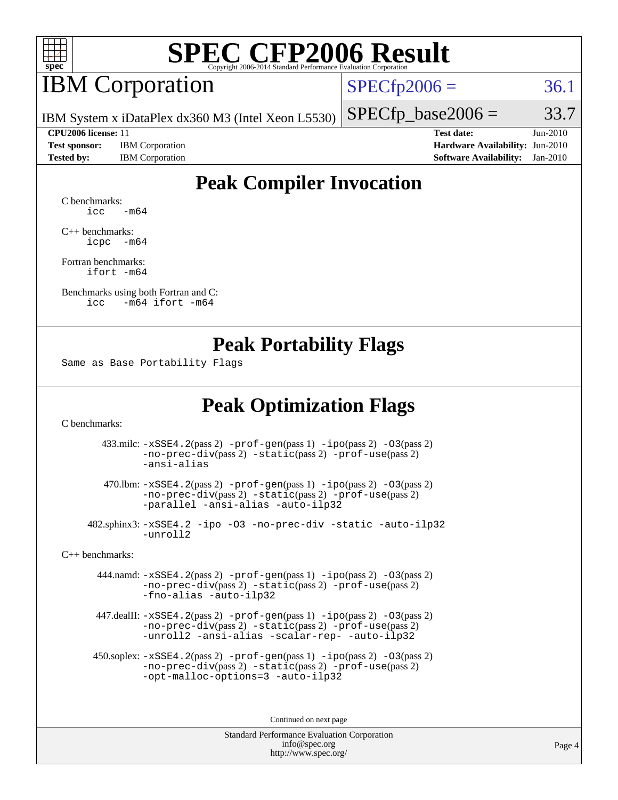

## **IBM** Corporation

 $SPECTp2006 = 36.1$ 

IBM System x iDataPlex dx360 M3 (Intel Xeon L5530)

**[Test sponsor:](http://www.spec.org/auto/cpu2006/Docs/result-fields.html#Testsponsor)** IBM Corporation **[Hardware Availability:](http://www.spec.org/auto/cpu2006/Docs/result-fields.html#HardwareAvailability)** Jun-2010 **[Tested by:](http://www.spec.org/auto/cpu2006/Docs/result-fields.html#Testedby)** IBM Corporation **[Software Availability:](http://www.spec.org/auto/cpu2006/Docs/result-fields.html#SoftwareAvailability)** Jan-2010

**[CPU2006 license:](http://www.spec.org/auto/cpu2006/Docs/result-fields.html#CPU2006license)** 11 **[Test date:](http://www.spec.org/auto/cpu2006/Docs/result-fields.html#Testdate)** Jun-2010

 $SPECTp\_base2006 = 33.7$ 

## **[Peak Compiler Invocation](http://www.spec.org/auto/cpu2006/Docs/result-fields.html#PeakCompilerInvocation)**

[C benchmarks](http://www.spec.org/auto/cpu2006/Docs/result-fields.html#Cbenchmarks):  $\text{icc}$   $-\text{m64}$ 

[C++ benchmarks:](http://www.spec.org/auto/cpu2006/Docs/result-fields.html#CXXbenchmarks) [icpc -m64](http://www.spec.org/cpu2006/results/res2010q3/cpu2006-20100719-12491.flags.html#user_CXXpeak_intel_icpc_64bit_bedb90c1146cab66620883ef4f41a67e)

[Fortran benchmarks](http://www.spec.org/auto/cpu2006/Docs/result-fields.html#Fortranbenchmarks): [ifort -m64](http://www.spec.org/cpu2006/results/res2010q3/cpu2006-20100719-12491.flags.html#user_FCpeak_intel_ifort_64bit_ee9d0fb25645d0210d97eb0527dcc06e)

[Benchmarks using both Fortran and C](http://www.spec.org/auto/cpu2006/Docs/result-fields.html#BenchmarksusingbothFortranandC): [icc -m64](http://www.spec.org/cpu2006/results/res2010q3/cpu2006-20100719-12491.flags.html#user_CC_FCpeak_intel_icc_64bit_0b7121f5ab7cfabee23d88897260401c) [ifort -m64](http://www.spec.org/cpu2006/results/res2010q3/cpu2006-20100719-12491.flags.html#user_CC_FCpeak_intel_ifort_64bit_ee9d0fb25645d0210d97eb0527dcc06e)

#### **[Peak Portability Flags](http://www.spec.org/auto/cpu2006/Docs/result-fields.html#PeakPortabilityFlags)**

Same as Base Portability Flags

## **[Peak Optimization Flags](http://www.spec.org/auto/cpu2006/Docs/result-fields.html#PeakOptimizationFlags)**

[C benchmarks](http://www.spec.org/auto/cpu2006/Docs/result-fields.html#Cbenchmarks):

 433.milc: [-xSSE4.2](http://www.spec.org/cpu2006/results/res2010q3/cpu2006-20100719-12491.flags.html#user_peakPASS2_CFLAGSPASS2_LDFLAGS433_milc_f-xSSE42_f91528193cf0b216347adb8b939d4107)(pass 2) [-prof-gen](http://www.spec.org/cpu2006/results/res2010q3/cpu2006-20100719-12491.flags.html#user_peakPASS1_CFLAGSPASS1_LDFLAGS433_milc_prof_gen_e43856698f6ca7b7e442dfd80e94a8fc)(pass 1) [-ipo](http://www.spec.org/cpu2006/results/res2010q3/cpu2006-20100719-12491.flags.html#user_peakPASS2_CFLAGSPASS2_LDFLAGS433_milc_f-ipo)(pass 2) [-O3](http://www.spec.org/cpu2006/results/res2010q3/cpu2006-20100719-12491.flags.html#user_peakPASS2_CFLAGSPASS2_LDFLAGS433_milc_f-O3)(pass 2) [-no-prec-div](http://www.spec.org/cpu2006/results/res2010q3/cpu2006-20100719-12491.flags.html#user_peakPASS2_CFLAGSPASS2_LDFLAGS433_milc_f-no-prec-div)(pass 2) [-static](http://www.spec.org/cpu2006/results/res2010q3/cpu2006-20100719-12491.flags.html#user_peakPASS2_CFLAGSPASS2_LDFLAGS433_milc_f-static)(pass 2) [-prof-use](http://www.spec.org/cpu2006/results/res2010q3/cpu2006-20100719-12491.flags.html#user_peakPASS2_CFLAGSPASS2_LDFLAGS433_milc_prof_use_bccf7792157ff70d64e32fe3e1250b55)(pass 2) [-ansi-alias](http://www.spec.org/cpu2006/results/res2010q3/cpu2006-20100719-12491.flags.html#user_peakOPTIMIZE433_milc_f-ansi-alias)

 470.lbm: [-xSSE4.2](http://www.spec.org/cpu2006/results/res2010q3/cpu2006-20100719-12491.flags.html#user_peakPASS2_CFLAGSPASS2_LDFLAGS470_lbm_f-xSSE42_f91528193cf0b216347adb8b939d4107)(pass 2) [-prof-gen](http://www.spec.org/cpu2006/results/res2010q3/cpu2006-20100719-12491.flags.html#user_peakPASS1_CFLAGSPASS1_LDFLAGS470_lbm_prof_gen_e43856698f6ca7b7e442dfd80e94a8fc)(pass 1) [-ipo](http://www.spec.org/cpu2006/results/res2010q3/cpu2006-20100719-12491.flags.html#user_peakPASS2_CFLAGSPASS2_LDFLAGS470_lbm_f-ipo)(pass 2) [-O3](http://www.spec.org/cpu2006/results/res2010q3/cpu2006-20100719-12491.flags.html#user_peakPASS2_CFLAGSPASS2_LDFLAGS470_lbm_f-O3)(pass 2) [-no-prec-div](http://www.spec.org/cpu2006/results/res2010q3/cpu2006-20100719-12491.flags.html#user_peakPASS2_CFLAGSPASS2_LDFLAGS470_lbm_f-no-prec-div)(pass 2) [-static](http://www.spec.org/cpu2006/results/res2010q3/cpu2006-20100719-12491.flags.html#user_peakPASS2_CFLAGSPASS2_LDFLAGS470_lbm_f-static)(pass 2) [-prof-use](http://www.spec.org/cpu2006/results/res2010q3/cpu2006-20100719-12491.flags.html#user_peakPASS2_CFLAGSPASS2_LDFLAGS470_lbm_prof_use_bccf7792157ff70d64e32fe3e1250b55)(pass 2) [-parallel](http://www.spec.org/cpu2006/results/res2010q3/cpu2006-20100719-12491.flags.html#user_peakOPTIMIZE470_lbm_f-parallel) [-ansi-alias](http://www.spec.org/cpu2006/results/res2010q3/cpu2006-20100719-12491.flags.html#user_peakOPTIMIZE470_lbm_f-ansi-alias) [-auto-ilp32](http://www.spec.org/cpu2006/results/res2010q3/cpu2006-20100719-12491.flags.html#user_peakCOPTIMIZE470_lbm_f-auto-ilp32)

 482.sphinx3: [-xSSE4.2](http://www.spec.org/cpu2006/results/res2010q3/cpu2006-20100719-12491.flags.html#user_peakOPTIMIZE482_sphinx3_f-xSSE42_f91528193cf0b216347adb8b939d4107) [-ipo](http://www.spec.org/cpu2006/results/res2010q3/cpu2006-20100719-12491.flags.html#user_peakOPTIMIZE482_sphinx3_f-ipo) [-O3](http://www.spec.org/cpu2006/results/res2010q3/cpu2006-20100719-12491.flags.html#user_peakOPTIMIZE482_sphinx3_f-O3) [-no-prec-div](http://www.spec.org/cpu2006/results/res2010q3/cpu2006-20100719-12491.flags.html#user_peakOPTIMIZE482_sphinx3_f-no-prec-div) [-static](http://www.spec.org/cpu2006/results/res2010q3/cpu2006-20100719-12491.flags.html#user_peakOPTIMIZE482_sphinx3_f-static) [-auto-ilp32](http://www.spec.org/cpu2006/results/res2010q3/cpu2006-20100719-12491.flags.html#user_peakCOPTIMIZE482_sphinx3_f-auto-ilp32) [-unroll2](http://www.spec.org/cpu2006/results/res2010q3/cpu2006-20100719-12491.flags.html#user_peakCOPTIMIZE482_sphinx3_f-unroll_784dae83bebfb236979b41d2422d7ec2)

[C++ benchmarks:](http://www.spec.org/auto/cpu2006/Docs/result-fields.html#CXXbenchmarks)

 444.namd: [-xSSE4.2](http://www.spec.org/cpu2006/results/res2010q3/cpu2006-20100719-12491.flags.html#user_peakPASS2_CXXFLAGSPASS2_LDFLAGS444_namd_f-xSSE42_f91528193cf0b216347adb8b939d4107)(pass 2) [-prof-gen](http://www.spec.org/cpu2006/results/res2010q3/cpu2006-20100719-12491.flags.html#user_peakPASS1_CXXFLAGSPASS1_LDFLAGS444_namd_prof_gen_e43856698f6ca7b7e442dfd80e94a8fc)(pass 1) [-ipo](http://www.spec.org/cpu2006/results/res2010q3/cpu2006-20100719-12491.flags.html#user_peakPASS2_CXXFLAGSPASS2_LDFLAGS444_namd_f-ipo)(pass 2) [-O3](http://www.spec.org/cpu2006/results/res2010q3/cpu2006-20100719-12491.flags.html#user_peakPASS2_CXXFLAGSPASS2_LDFLAGS444_namd_f-O3)(pass 2) [-no-prec-div](http://www.spec.org/cpu2006/results/res2010q3/cpu2006-20100719-12491.flags.html#user_peakPASS2_CXXFLAGSPASS2_LDFLAGS444_namd_f-no-prec-div)(pass 2) [-static](http://www.spec.org/cpu2006/results/res2010q3/cpu2006-20100719-12491.flags.html#user_peakPASS2_CXXFLAGSPASS2_LDFLAGS444_namd_f-static)(pass 2) [-prof-use](http://www.spec.org/cpu2006/results/res2010q3/cpu2006-20100719-12491.flags.html#user_peakPASS2_CXXFLAGSPASS2_LDFLAGS444_namd_prof_use_bccf7792157ff70d64e32fe3e1250b55)(pass 2) [-fno-alias](http://www.spec.org/cpu2006/results/res2010q3/cpu2006-20100719-12491.flags.html#user_peakOPTIMIZE444_namd_f-no-alias_694e77f6c5a51e658e82ccff53a9e63a) [-auto-ilp32](http://www.spec.org/cpu2006/results/res2010q3/cpu2006-20100719-12491.flags.html#user_peakCXXOPTIMIZE444_namd_f-auto-ilp32)

 447.dealII: [-xSSE4.2](http://www.spec.org/cpu2006/results/res2010q3/cpu2006-20100719-12491.flags.html#user_peakPASS2_CXXFLAGSPASS2_LDFLAGS447_dealII_f-xSSE42_f91528193cf0b216347adb8b939d4107)(pass 2) [-prof-gen](http://www.spec.org/cpu2006/results/res2010q3/cpu2006-20100719-12491.flags.html#user_peakPASS1_CXXFLAGSPASS1_LDFLAGS447_dealII_prof_gen_e43856698f6ca7b7e442dfd80e94a8fc)(pass 1) [-ipo](http://www.spec.org/cpu2006/results/res2010q3/cpu2006-20100719-12491.flags.html#user_peakPASS2_CXXFLAGSPASS2_LDFLAGS447_dealII_f-ipo)(pass 2) [-O3](http://www.spec.org/cpu2006/results/res2010q3/cpu2006-20100719-12491.flags.html#user_peakPASS2_CXXFLAGSPASS2_LDFLAGS447_dealII_f-O3)(pass 2) [-no-prec-div](http://www.spec.org/cpu2006/results/res2010q3/cpu2006-20100719-12491.flags.html#user_peakPASS2_CXXFLAGSPASS2_LDFLAGS447_dealII_f-no-prec-div)(pass 2) [-static](http://www.spec.org/cpu2006/results/res2010q3/cpu2006-20100719-12491.flags.html#user_peakPASS2_CXXFLAGSPASS2_LDFLAGS447_dealII_f-static)(pass 2) [-prof-use](http://www.spec.org/cpu2006/results/res2010q3/cpu2006-20100719-12491.flags.html#user_peakPASS2_CXXFLAGSPASS2_LDFLAGS447_dealII_prof_use_bccf7792157ff70d64e32fe3e1250b55)(pass 2) [-unroll2](http://www.spec.org/cpu2006/results/res2010q3/cpu2006-20100719-12491.flags.html#user_peakOPTIMIZE447_dealII_f-unroll_784dae83bebfb236979b41d2422d7ec2) [-ansi-alias](http://www.spec.org/cpu2006/results/res2010q3/cpu2006-20100719-12491.flags.html#user_peakOPTIMIZE447_dealII_f-ansi-alias) [-scalar-rep-](http://www.spec.org/cpu2006/results/res2010q3/cpu2006-20100719-12491.flags.html#user_peakOPTIMIZE447_dealII_f-disablescalarrep_abbcad04450fb118e4809c81d83c8a1d) [-auto-ilp32](http://www.spec.org/cpu2006/results/res2010q3/cpu2006-20100719-12491.flags.html#user_peakCXXOPTIMIZE447_dealII_f-auto-ilp32)

 450.soplex: [-xSSE4.2](http://www.spec.org/cpu2006/results/res2010q3/cpu2006-20100719-12491.flags.html#user_peakPASS2_CXXFLAGSPASS2_LDFLAGS450_soplex_f-xSSE42_f91528193cf0b216347adb8b939d4107)(pass 2) [-prof-gen](http://www.spec.org/cpu2006/results/res2010q3/cpu2006-20100719-12491.flags.html#user_peakPASS1_CXXFLAGSPASS1_LDFLAGS450_soplex_prof_gen_e43856698f6ca7b7e442dfd80e94a8fc)(pass 1) [-ipo](http://www.spec.org/cpu2006/results/res2010q3/cpu2006-20100719-12491.flags.html#user_peakPASS2_CXXFLAGSPASS2_LDFLAGS450_soplex_f-ipo)(pass 2) [-O3](http://www.spec.org/cpu2006/results/res2010q3/cpu2006-20100719-12491.flags.html#user_peakPASS2_CXXFLAGSPASS2_LDFLAGS450_soplex_f-O3)(pass 2) [-no-prec-div](http://www.spec.org/cpu2006/results/res2010q3/cpu2006-20100719-12491.flags.html#user_peakPASS2_CXXFLAGSPASS2_LDFLAGS450_soplex_f-no-prec-div)(pass 2) [-static](http://www.spec.org/cpu2006/results/res2010q3/cpu2006-20100719-12491.flags.html#user_peakPASS2_CXXFLAGSPASS2_LDFLAGS450_soplex_f-static)(pass 2) [-prof-use](http://www.spec.org/cpu2006/results/res2010q3/cpu2006-20100719-12491.flags.html#user_peakPASS2_CXXFLAGSPASS2_LDFLAGS450_soplex_prof_use_bccf7792157ff70d64e32fe3e1250b55)(pass 2) [-opt-malloc-options=3](http://www.spec.org/cpu2006/results/res2010q3/cpu2006-20100719-12491.flags.html#user_peakOPTIMIZE450_soplex_f-opt-malloc-options_13ab9b803cf986b4ee62f0a5998c2238) [-auto-ilp32](http://www.spec.org/cpu2006/results/res2010q3/cpu2006-20100719-12491.flags.html#user_peakCXXOPTIMIZE450_soplex_f-auto-ilp32)

Continued on next page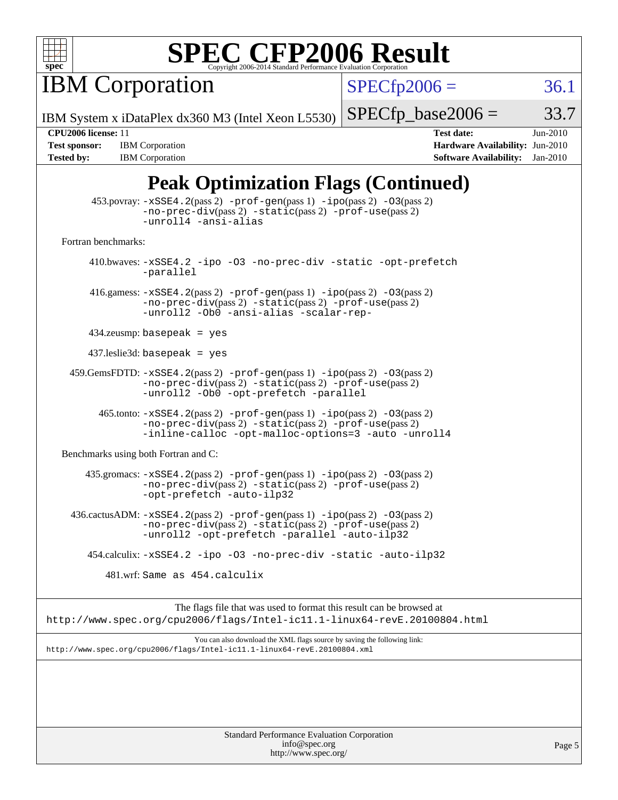

**IBM Corporation** 

 $SPECfp2006 = 36.1$  $SPECfp2006 = 36.1$ 

IBM System x iDataPlex dx360 M3 (Intel Xeon L5530)

 $SPECTp\_base2006 = 33.7$ 

**[Tested by:](http://www.spec.org/auto/cpu2006/Docs/result-fields.html#Testedby)** IBM Corporation **[Software Availability:](http://www.spec.org/auto/cpu2006/Docs/result-fields.html#SoftwareAvailability)** Jan-2010

**[CPU2006 license:](http://www.spec.org/auto/cpu2006/Docs/result-fields.html#CPU2006license)** 11 **[Test date:](http://www.spec.org/auto/cpu2006/Docs/result-fields.html#Testdate)** Jun-2010 **[Test sponsor:](http://www.spec.org/auto/cpu2006/Docs/result-fields.html#Testsponsor)** IBM Corporation **[Hardware Availability:](http://www.spec.org/auto/cpu2006/Docs/result-fields.html#HardwareAvailability)** Jun-2010

## **[Peak Optimization Flags \(Continued\)](http://www.spec.org/auto/cpu2006/Docs/result-fields.html#PeakOptimizationFlags)**

|                                      | $453.$ povray: $-xSSE4$ . $2(pass 2)$ -prof-gen $(pass 1)$ -ipo $(pass 2)$ -03 $(pass 2)$<br>-no-prec-div(pass 2) -static(pass 2) -prof-use(pass 2)<br>-unroll4 -ansi-alias                              |
|--------------------------------------|----------------------------------------------------------------------------------------------------------------------------------------------------------------------------------------------------------|
| Fortran benchmarks:                  |                                                                                                                                                                                                          |
|                                      | 410.bwaves: -xSSE4.2 -ipo -03 -no-prec-div -static -opt-prefetch<br>-parallel                                                                                                                            |
|                                      | 416.gamess: $-xSSE4$ . 2(pass 2) $-prof-gen(pass 1) -ipo(pass 2) -O3(pass 2)$<br>-no-prec-div(pass 2) -static(pass 2) -prof-use(pass 2)<br>-unroll2 -Ob0 -ansi-alias -scalar-rep-                        |
|                                      | $434$ .zeusmp: basepeak = yes                                                                                                                                                                            |
|                                      | $437$ .leslie3d: basepeak = yes                                                                                                                                                                          |
|                                      | $459.GemsFDTD: -xSSE4.2(pass 2) -prof-gen(pass 1) -ipo(pass 2) -03(pass 2)$<br>$-no\text{-prec-div}(pass 2)$ $-static(pass 2)$ $-prot\text{-use}(pass 2)$<br>-unroll2 - 0b0 - opt-prefetch - parallel    |
|                                      | $465$ .tonto: $-xSSE4$ . 2(pass 2) $-prof-gen(pass 1) -ipo(pass 2) -03(pass 2)$<br>-no-prec-div(pass 2) -static(pass 2) -prof-use(pass 2)<br>-inline-calloc -opt-malloc-options=3 -auto -unroll4         |
| Benchmarks using both Fortran and C: |                                                                                                                                                                                                          |
|                                      | 435.gromacs: -xSSE4.2(pass 2) -prof-gen(pass 1) -ipo(pass 2) -03(pass 2)<br>-no-prec-div(pass 2) -static(pass 2) -prof-use(pass 2)<br>-opt-prefetch -auto-ilp32                                          |
|                                      | 436.cactusADM: -xSSE4.2(pass 2) -prof-gen(pass 1) -ipo(pass 2) -03(pass 2)<br>$-no\text{-prec-div}(pass 2)$ $-static(pass 2)$ $-prot\text{-use}(pass 2)$<br>-unroll2 -opt-prefetch -parallel -auto-ilp32 |
|                                      | 454.calculix: -xSSE4.2 -ipo -03 -no-prec-div -static -auto-ilp32                                                                                                                                         |
|                                      | 481.wrf: Same as 454.calculix                                                                                                                                                                            |
|                                      | The flags file that was used to format this result can be browsed at<br>http://www.spec.org/cpu2006/flags/Intel-ic11.1-linux64-revE.20100804.html                                                        |
|                                      | You can also download the XML flags source by saving the following link:<br>http://www.spec.org/cpu2006/flags/Intel-icll.1-linux64-revE.20100804.xml                                                     |
|                                      |                                                                                                                                                                                                          |
|                                      |                                                                                                                                                                                                          |
|                                      |                                                                                                                                                                                                          |
|                                      |                                                                                                                                                                                                          |